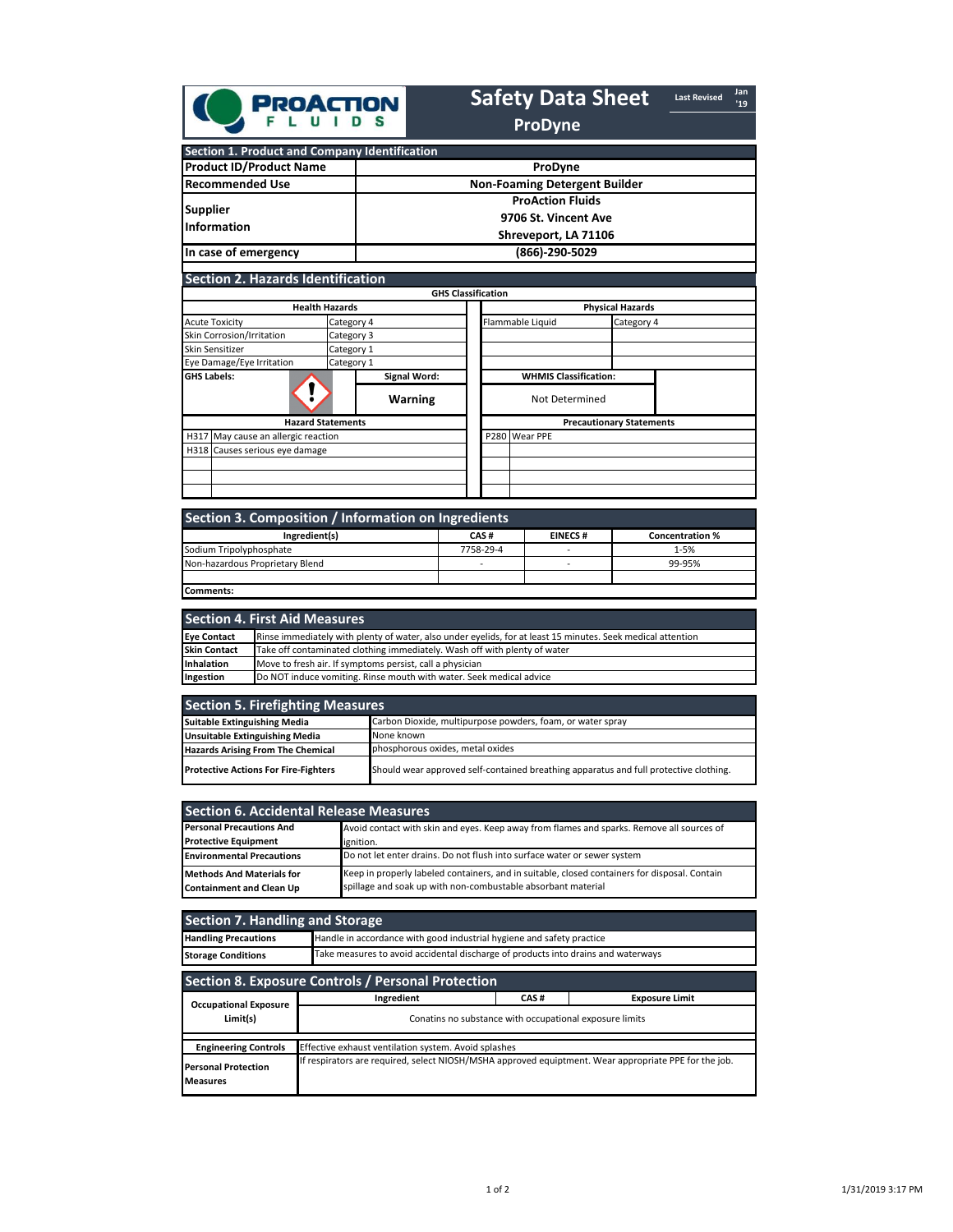|                                                     | <b>PROACTION</b>         |                                                                         |                                 | <b>Safety Data Sheet</b><br><b>ProDyne</b> |                         | <b>Last Revised</b> | Jan<br>'19 |  |  |
|-----------------------------------------------------|--------------------------|-------------------------------------------------------------------------|---------------------------------|--------------------------------------------|-------------------------|---------------------|------------|--|--|
| Section 1. Product and Company Identification       |                          |                                                                         |                                 |                                            |                         |                     |            |  |  |
| <b>Product ID/Product Name</b>                      |                          |                                                                         |                                 | ProDyne                                    |                         |                     |            |  |  |
| <b>Recommended Use</b>                              |                          |                                                                         |                                 | <b>Non-Foaming Detergent Builder</b>       |                         |                     |            |  |  |
| <b>Supplier</b><br><b>Information</b>               |                          | <b>ProAction Fluids</b><br>9706 St. Vincent Ave<br>Shreveport, LA 71106 |                                 |                                            |                         |                     |            |  |  |
| In case of emergency                                |                          |                                                                         |                                 | (866)-290-5029                             |                         |                     |            |  |  |
| <b>Section 2. Hazards Identification</b>            |                          | <b>GHS Classification</b>                                               |                                 |                                            |                         |                     |            |  |  |
|                                                     | <b>Health Hazards</b>    |                                                                         |                                 |                                            | <b>Physical Hazards</b> |                     |            |  |  |
| <b>Acute Toxicity</b>                               | Category 4               |                                                                         | Flammable Liquid<br>Category 4  |                                            |                         |                     |            |  |  |
| <b>Skin Corrosion/Irritation</b>                    | Category 3               |                                                                         |                                 |                                            |                         |                     |            |  |  |
| Skin Sensitizer                                     | Category 1               |                                                                         |                                 |                                            |                         |                     |            |  |  |
| Eye Damage/Eye Irritation                           | Category 1               |                                                                         |                                 |                                            |                         |                     |            |  |  |
| <b>GHS Labels:</b>                                  |                          | <b>Signal Word:</b>                                                     |                                 | <b>WHMIS Classification:</b>               |                         |                     |            |  |  |
|                                                     |                          | <b>Warning</b>                                                          |                                 | Not Determined                             |                         |                     |            |  |  |
|                                                     | <b>Hazard Statements</b> |                                                                         | <b>Precautionary Statements</b> |                                            |                         |                     |            |  |  |
| H317 May cause an allergic reaction                 |                          |                                                                         | P280                            | Wear PPE                                   |                         |                     |            |  |  |
| H318<br>Causes serious eye damage                   |                          |                                                                         |                                 |                                            |                         |                     |            |  |  |
|                                                     |                          |                                                                         |                                 |                                            |                         |                     |            |  |  |
| Section 3. Composition / Information on Ingredients |                          |                                                                         |                                 |                                            |                         |                     |            |  |  |

| Section 3. Composition / Information on Ingredients |           |                |                        |  |  |  |  |  |  |
|-----------------------------------------------------|-----------|----------------|------------------------|--|--|--|--|--|--|
| Ingredient(s)                                       | CAS#      | <b>EINECS#</b> | <b>Concentration %</b> |  |  |  |  |  |  |
| Sodium Tripolyphosphate                             | 7758-29-4 | -              | $1 - 5%$               |  |  |  |  |  |  |
| Non-hazardous Proprietary Blend                     |           | -              | 99-95%                 |  |  |  |  |  |  |
|                                                     |           |                |                        |  |  |  |  |  |  |
| Comments:                                           |           |                |                        |  |  |  |  |  |  |

|                     | Section 4. First Aid Measures                                                                               |
|---------------------|-------------------------------------------------------------------------------------------------------------|
| <b>Eye Contact</b>  | Rinse immediately with plenty of water, also under eyelids, for at least 15 minutes. Seek medical attention |
| <b>Skin Contact</b> | Take off contaminated clothing immediately. Wash off with plenty of water                                   |
| Inhalation          | Move to fresh air. If symptoms persist, call a physician                                                    |
| Ingestion           | Do NOT induce vomiting. Rinse mouth with water. Seek medical advice                                         |

| <b>Section 5. Firefighting Measures</b>     |                                                                                       |  |  |  |  |
|---------------------------------------------|---------------------------------------------------------------------------------------|--|--|--|--|
| <b>Suitable Extinguishing Media</b>         | Carbon Dioxide, multipurpose powders, foam, or water spray                            |  |  |  |  |
| <b>Unsuitable Extinguishing Media</b>       | None known                                                                            |  |  |  |  |
| <b>Hazards Arising From The Chemical</b>    | phosphorous oxides, metal oxides                                                      |  |  |  |  |
| <b>Protective Actions For Fire-Fighters</b> | Should wear approved self-contained breathing apparatus and full protective clothing. |  |  |  |  |

| <b>Section 6. Accidental Release Measures</b>                       |                                                                                                                                                               |
|---------------------------------------------------------------------|---------------------------------------------------------------------------------------------------------------------------------------------------------------|
| <b>Personal Precautions And</b>                                     | Avoid contact with skin and eyes. Keep away from flames and sparks. Remove all sources of                                                                     |
| <b>Protective Equipment</b>                                         | ignition.                                                                                                                                                     |
| <b>Environmental Precautions</b>                                    | Do not let enter drains. Do not flush into surface water or sewer system                                                                                      |
| <b>Methods And Materials for</b><br><b>Containment and Clean Up</b> | Keep in properly labeled containers, and in suitable, closed containers for disposal. Contain<br>spillage and soak up with non-combustable absorbant material |

| <b>Section 7. Handling and Storage</b>        |                                                                                                       |      |                       |  |  |  |  |  |
|-----------------------------------------------|-------------------------------------------------------------------------------------------------------|------|-----------------------|--|--|--|--|--|
| <b>Handling Precautions</b>                   | Handle in accordance with good industrial hygiene and safety practice                                 |      |                       |  |  |  |  |  |
| <b>Storage Conditions</b>                     | Take measures to avoid accidental discharge of products into drains and waterways                     |      |                       |  |  |  |  |  |
|                                               | <b>Section 8. Exposure Controls / Personal Protection</b>                                             |      |                       |  |  |  |  |  |
|                                               | Ingredient                                                                                            | CAS# | <b>Exposure Limit</b> |  |  |  |  |  |
| <b>Occupational Exposure</b><br>Limit(s)      | Conatins no substance with occupational exposure limits                                               |      |                       |  |  |  |  |  |
| <b>Engineering Controls</b>                   | Effective exhaust ventilation system. Avoid splashes                                                  |      |                       |  |  |  |  |  |
| <b>Personal Protection</b><br><b>Measures</b> | If respirators are required, select NIOSH/MSHA approved equiptment. Wear appropriate PPE for the job. |      |                       |  |  |  |  |  |
|                                               |                                                                                                       |      |                       |  |  |  |  |  |